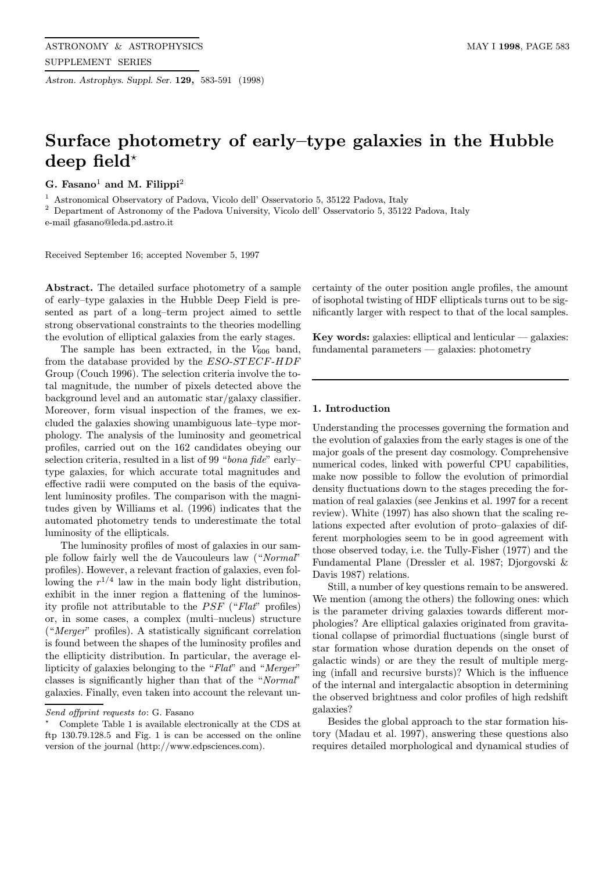Astron. Astrophys. Suppl. Ser. 129, 583-591 (1998)

# Surface photometry of early–type galaxies in the Hubble deep field\*

G. Fasano<sup>1</sup> and M. Filippi<sup>2</sup>

<sup>1</sup> Astronomical Observatory of Padova, Vicolo dell' Osservatorio 5, 35122 Padova, Italy

<sup>2</sup> Department of Astronomy of the Padova University, Vicolo dell' Osservatorio 5, 35122 Padova, Italy

e-mail gfasano@leda.pd.astro.it

Received September 16; accepted November 5, 1997

Abstract. The detailed surface photometry of a sample of early–type galaxies in the Hubble Deep Field is presented as part of a long–term project aimed to settle strong observational constraints to the theories modelling the evolution of elliptical galaxies from the early stages.

The sample has been extracted, in the  $V_{606}$  band, from the database provided by the ESO-STECF-HDF Group (Couch 1996). The selection criteria involve the total magnitude, the number of pixels detected above the background level and an automatic star/galaxy classifier. Moreover, form visual inspection of the frames, we excluded the galaxies showing unambiguous late–type morphology. The analysis of the luminosity and geometrical profiles, carried out on the 162 candidates obeying our selection criteria, resulted in a list of 99 "bona fide" earlytype galaxies, for which accurate total magnitudes and effective radii were computed on the basis of the equivalent luminosity profiles. The comparison with the magnitudes given by Williams et al. (1996) indicates that the automated photometry tends to underestimate the total luminosity of the ellipticals.

The luminosity profiles of most of galaxies in our sample follow fairly well the de Vaucouleurs law ("Normal" profiles). However, a relevant fraction of galaxies, even following the  $r^{1/4}$  law in the main body light distribution, exhibit in the inner region a flattening of the luminosity profile not attributable to the  $PSF$  ("Flat" profiles) or, in some cases, a complex (multi–nucleus) structure ("Merger" profiles). A statistically significant correlation is found between the shapes of the luminosity profiles and the ellipticity distribution. In particular, the average ellipticity of galaxies belonging to the "Flat" and "Merger" classes is significantly higher than that of the "Normal" galaxies. Finally, even taken into account the relevant un-

certainty of the outer position angle profiles, the amount of isophotal twisting of HDF ellipticals turns out to be significantly larger with respect to that of the local samples.

**Key words:** galaxies: elliptical and lenticular  $-$  galaxies: fundamental parameters — galaxies: photometry

#### 1. Introduction

Understanding the processes governing the formation and the evolution of galaxies from the early stages is one of the major goals of the present day cosmology. Comprehensive numerical codes, linked with powerful CPU capabilities, make now possible to follow the evolution of primordial density fluctuations down to the stages preceding the formation of real galaxies (see Jenkins et al. 1997 for a recent review). White (1997) has also shown that the scaling relations expected after evolution of proto–galaxies of different morphologies seem to be in good agreement with those observed today, i.e. the Tully-Fisher (1977) and the Fundamental Plane (Dressler et al. 1987; Djorgovski & Davis 1987) relations.

Still, a number of key questions remain to be answered. We mention (among the others) the following ones: which is the parameter driving galaxies towards different morphologies? Are elliptical galaxies originated from gravitational collapse of primordial fluctuations (single burst of star formation whose duration depends on the onset of galactic winds) or are they the result of multiple merging (infall and recursive bursts)? Which is the influence of the internal and intergalactic absoption in determining the observed brightness and color profiles of high redshift galaxies?

Besides the global approach to the star formation history (Madau et al. 1997), answering these questions also requires detailed morphological and dynamical studies of

Send offprint requests to: G. Fasano

<sup>?</sup> Complete Table 1 is available electronically at the CDS at ftp 130.79.128.5 and Fig. 1 is can be accessed on the online version of the journal (http://www.edpsciences.com).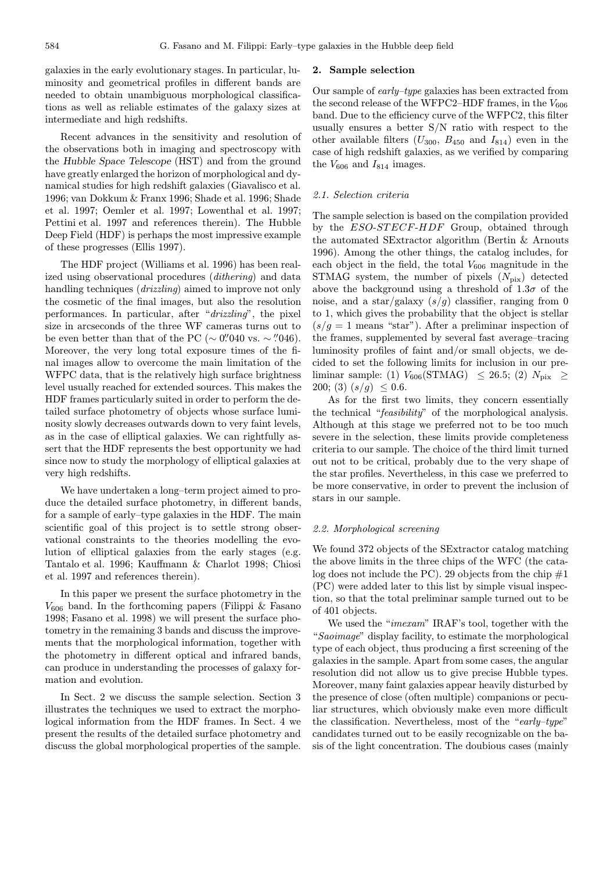galaxies in the early evolutionary stages. In particular, luminosity and geometrical profiles in different bands are needed to obtain unambiguous morphological classifications as well as reliable estimates of the galaxy sizes at intermediate and high redshifts.

Recent advances in the sensitivity and resolution of the observations both in imaging and spectroscopy with the Hubble Space Telescope (HST) and from the ground have greatly enlarged the horizon of morphological and dynamical studies for high redshift galaxies (Giavalisco et al. 1996; van Dokkum & Franx 1996; Shade et al. 1996; Shade et al. 1997; Oemler et al. 1997; Lowenthal et al. 1997; Pettini et al. 1997 and references therein). The Hubble Deep Field (HDF) is perhaps the most impressive example of these progresses (Ellis 1997).

The HDF project (Williams et al. 1996) has been realized using observational procedures (dithering) and data handling techniques (*drizzling*) aimed to improve not only the cosmetic of the final images, but also the resolution performances. In particular, after "drizzling", the pixel size in arcseconds of the three WF cameras turns out to be even better than that of the PC ( $\sim$  0".040 vs.  $\sim$  ".046). Moreover, the very long total exposure times of the final images allow to overcome the main limitation of the WFPC data, that is the relatively high surface brightness level usually reached for extended sources. This makes the HDF frames particularly suited in order to perform the detailed surface photometry of objects whose surface luminosity slowly decreases outwards down to very faint levels, as in the case of elliptical galaxies. We can rightfully assert that the HDF represents the best opportunity we had since now to study the morphology of elliptical galaxies at very high redshifts.

We have undertaken a long–term project aimed to produce the detailed surface photometry, in different bands, for a sample of early–type galaxies in the HDF. The main scientific goal of this project is to settle strong observational constraints to the theories modelling the evolution of elliptical galaxies from the early stages (e.g. Tantalo et al. 1996; Kauffmann & Charlot 1998; Chiosi et al. 1997 and references therein).

In this paper we present the surface photometry in the  $V_{606}$  band. In the forthcoming papers (Filippi & Fasano 1998; Fasano et al. 1998) we will present the surface photometry in the remaining 3 bands and discuss the improvements that the morphological information, together with the photometry in different optical and infrared bands, can produce in understanding the processes of galaxy formation and evolution.

In Sect. 2 we discuss the sample selection. Section 3 illustrates the techniques we used to extract the morphological information from the HDF frames. In Sect. 4 we present the results of the detailed surface photometry and discuss the global morphological properties of the sample.

# 2. Sample selection

Our sample of early–type galaxies has been extracted from the second release of the WFPC2–HDF frames, in the  $V_{606}$ band. Due to the efficiency curve of the WFPC2, this filter usually ensures a better S/N ratio with respect to the other available filters  $(U_{300}, B_{450}$  and  $I_{814})$  even in the case of high redshift galaxies, as we verified by comparing the  $V_{606}$  and  $I_{814}$  images.

# 2.1. Selection criteria

The sample selection is based on the compilation provided by the ESO-STECF-HDF Group, obtained through the automated SExtractor algorithm (Bertin & Arnouts 1996). Among the other things, the catalog includes, for each object in the field, the total  $V_{606}$  magnitude in the STMAG system, the number of pixels  $(N_{pix})$  detected above the background using a threshold of  $1.3\sigma$  of the noise, and a star/galaxy  $(s/q)$  classifier, ranging from 0 to 1, which gives the probability that the object is stellar  $(s/g = 1$  means "star"). After a preliminar inspection of the frames, supplemented by several fast average–tracing luminosity profiles of faint and/or small objects, we decided to set the following limits for inclusion in our preliminar sample: (1)  $V_{606}(\text{STMAG}) \leq 26.5$ ; (2)  $N_{\text{pix}} \geq$ 200; (3)  $(s/g) \leq 0.6$ .

As for the first two limits, they concern essentially the technical "feasibility" of the morphological analysis. Although at this stage we preferred not to be too much severe in the selection, these limits provide completeness criteria to our sample. The choice of the third limit turned out not to be critical, probably due to the very shape of the star profiles. Nevertheless, in this case we preferred to be more conservative, in order to prevent the inclusion of stars in our sample.

# 2.2. Morphological screening

We found 372 objects of the SExtractor catalog matching the above limits in the three chips of the WFC (the catalog does not include the PC). 29 objects from the chip  $#1$ (PC) were added later to this list by simple visual inspection, so that the total preliminar sample turned out to be of 401 objects.

We used the "*imexam*" IRAF's tool, together with the "Saoimage" display facility, to estimate the morphological type of each object, thus producing a first screening of the galaxies in the sample. Apart from some cases, the angular resolution did not allow us to give precise Hubble types. Moreover, many faint galaxies appear heavily disturbed by the presence of close (often multiple) companions or peculiar structures, which obviously make even more difficult the classification. Nevertheless, most of the "early-type" candidates turned out to be easily recognizable on the basis of the light concentration. The doubious cases (mainly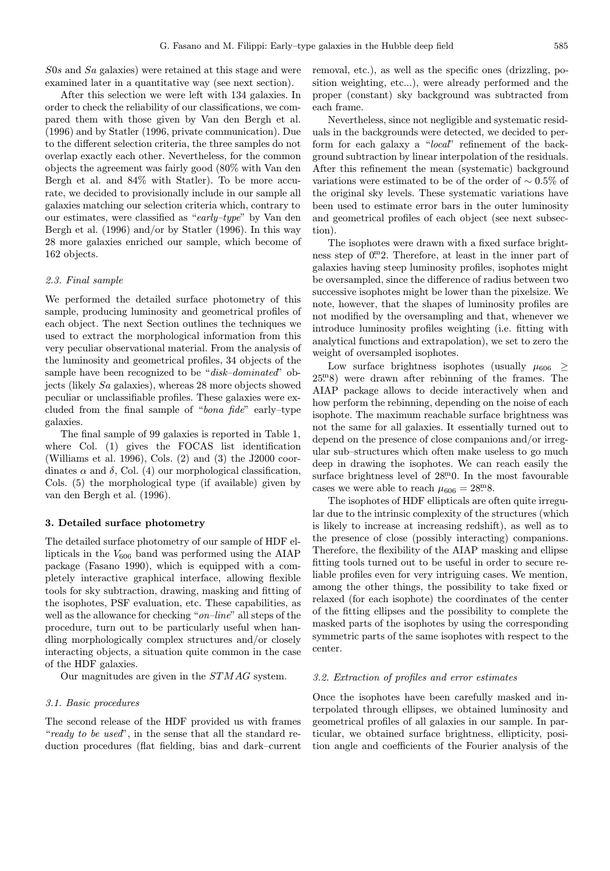S0s and Sa galaxies) were retained at this stage and were examined later in a quantitative way (see next section).

After this selection we were left with 134 galaxies. In order to check the reliability of our classifications, we compared them with those given by Van den Bergh et al. (1996) and by Statler (1996, private communication). Due to the different selection criteria, the three samples do not overlap exactly each other. Nevertheless, for the common objects the agreement was fairly good (80% with Van den Bergh et al. and 84% with Statler). To be more accurate, we decided to provisionally include in our sample all galaxies matching our selection criteria which, contrary to our estimates, were classified as "early–type" by Van den Bergh et al. (1996) and/or by Statler (1996). In this way 28 more galaxies enriched our sample, which become of 162 objects.

#### 2.3. Final sample

We performed the detailed surface photometry of this sample, producing luminosity and geometrical profiles of each object. The next Section outlines the techniques we used to extract the morphological information from this very peculiar observational material. From the analysis of the luminosity and geometrical profiles, 34 objects of the sample have been recognized to be "*disk-dominated*" objects (likely Sa galaxies), whereas 28 more objects showed peculiar or unclassifiable profiles. These galaxies were excluded from the final sample of "bona fide" early–type galaxies.

The final sample of 99 galaxies is reported in Table 1, where Col. (1) gives the FOCAS list identification (Williams et al. 1996), Cols. (2) and (3) the J2000 coordinates  $\alpha$  and  $\delta$ , Col. (4) our morphological classification, Cols. (5) the morphological type (if available) given by van den Bergh et al. (1996).

## 3. Detailed surface photometry

The detailed surface photometry of our sample of HDF ellipticals in the  $V_{606}$  band was performed using the AIAP package (Fasano 1990), which is equipped with a completely interactive graphical interface, allowing flexible tools for sky subtraction, drawing, masking and fitting of the isophotes, PSF evaluation, etc. These capabilities, as well as the allowance for checking " $on$ -line" all steps of the procedure, turn out to be particularly useful when handling morphologically complex structures and/or closely interacting objects, a situation quite common in the case of the HDF galaxies.

Our magnitudes are given in the STMAG system.

#### 3.1. Basic procedures

The second release of the HDF provided us with frames "ready to be used", in the sense that all the standard reduction procedures (flat fielding, bias and dark–current removal, etc.), as well as the specific ones (drizzling, position weighting, etc...), were already performed and the proper (constant) sky background was subtracted from each frame.

Nevertheless, since not negligible and systematic residuals in the backgrounds were detected, we decided to perform for each galaxy a "local" refinement of the background subtraction by linear interpolation of the residuals. After this refinement the mean (systematic) background variations were estimated to be of the order of  $\sim 0.5\%$  of the original sky levels. These systematic variations have been used to estimate error bars in the outer luminosity and geometrical profiles of each object (see next subsection).

The isophotes were drawn with a fixed surface brightness step of  $0^{\text{m}}$ 2. Therefore, at least in the inner part of galaxies having steep luminosity profiles, isophotes might be oversampled, since the difference of radius between two successive isophotes might be lower than the pixelsize. We note, however, that the shapes of luminosity profiles are not modified by the oversampling and that, whenever we introduce luminosity profiles weighting (i.e. fitting with analytical functions and extrapolation), we set to zero the weight of oversampled isophotes.

Low surface brightness isophotes (usually  $\mu_{606} \geq$ 25. <sup>m</sup>8) were drawn after rebinning of the frames. The AIAP package allows to decide interactively when and how perform the rebinning, depending on the noise of each isophote. The maximum reachable surface brightness was not the same for all galaxies. It essentially turned out to depend on the presence of close companions and/or irregular sub–structures which often make useless to go much deep in drawing the isophotes. We can reach easily the surface brightness level of  $28^{\text{m}}$ 0. In the most favourable cases we were able to reach  $\mu_{606} = 28.8$ .

The isophotes of HDF ellipticals are often quite irregular due to the intrinsic complexity of the structures (which is likely to increase at increasing redshift), as well as to the presence of close (possibly interacting) companions. Therefore, the flexibility of the AIAP masking and ellipse fitting tools turned out to be useful in order to secure reliable profiles even for very intriguing cases. We mention, among the other things, the possibility to take fixed or relaxed (for each isophote) the coordinates of the center of the fitting ellipses and the possibility to complete the masked parts of the isophotes by using the corresponding symmetric parts of the same isophotes with respect to the center.

## 3.2. Extraction of profiles and error estimates

Once the isophotes have been carefully masked and interpolated through ellipses, we obtained luminosity and geometrical profiles of all galaxies in our sample. In particular, we obtained surface brightness, ellipticity, position angle and coefficients of the Fourier analysis of the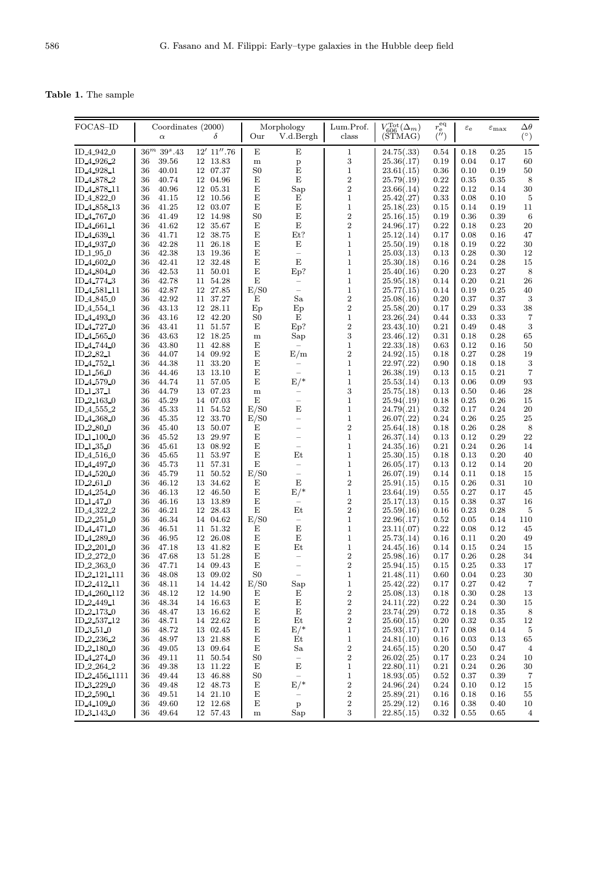Table 1. The sample

| FOCAS-ID                            |        |                            | Coordinates (2000) |                | Morphology               | Lum.Prof.               | $V_{606}^{\text{Tot}}(\Delta_m)$ | $\begin{smallmatrix} r_{\rm e}^{\rm eq}\\ (l') \end{smallmatrix}$ | $\varepsilon_{\rm e}$ | $\varepsilon_{\rm max}$ | $\Delta\theta$ |
|-------------------------------------|--------|----------------------------|--------------------|----------------|--------------------------|-------------------------|----------------------------------|-------------------------------------------------------------------|-----------------------|-------------------------|----------------|
|                                     |        | $\alpha$                   | δ                  | Our            | V.d.Bergh                | class                   | (STMAG)                          |                                                                   |                       |                         | $(^\circ)$     |
|                                     |        |                            |                    |                |                          |                         |                                  |                                                                   |                       |                         |                |
| ID 4 942 0                          |        | $36^m$ 39 <sup>s</sup> .43 | $12'$ $11''.76$    | E              | Е                        | $\mathbf{1}$            | 24.75(.33)                       | 0.54                                                              | 0.18                  | 0.25                    | 15             |
|                                     |        |                            |                    |                |                          | $\,3$                   |                                  | 0.19                                                              |                       |                         |                |
| ID 4 926 2                          | 36     | 39.56                      | 12 13.83           | ${\bf m}$      | $\mathbf{p}$             |                         | 25.36(.17)                       |                                                                   | 0.04                  | 0.17                    | 60             |
| ID 4 928 1                          | 36     | 40.01                      | 12 07.37           | S <sub>0</sub> | E                        | $\mathbf{1}$            | 23.61(.15)                       | 0.36                                                              | 0.10                  | 0.19                    | 50             |
| ID 4 878 2                          | 36     | 40.74                      | 12 04.96           | Е              | E                        | $\,2$                   | 25.79(.19)                       | 0.22                                                              | 0.35                  | 0.35                    | 8              |
| ID 4 878 11                         | 36     | 40.96                      | 12 05.31           | E              | Sap                      | $\,2$                   | 23.66(.14)                       | 0.22                                                              | 0.12                  | 0.14                    | 30             |
| ID <sub>4822</sub> 0                | 36     | 41.15                      | 12 10.56           | E              | Ε                        | $\mathbf{1}$            | 25.42(.27)                       | 0.33                                                              | 0.08                  | 0.10                    | 5              |
| ID 4 858 13                         | 36     | 41.25                      | 12 03.07           | E              | E                        | $\mathbf{1}$            | 25.18(.23)                       | 0.15                                                              | 0.14                  | 0.19                    | 11             |
| ID <sub>4</sub> 767 <sub>0</sub>    | 36     | 41.49                      | 12 14.98           | S <sub>0</sub> | E                        | $\overline{\mathbf{2}}$ | 25.16(.15)                       | 0.19                                                              | 0.36                  | 0.39                    | 6              |
|                                     |        |                            |                    | E              | E                        | $\,2$                   |                                  |                                                                   |                       |                         | $20\,$         |
| ID 4 661 1                          | 36     | 41.62                      | 12 35.67           |                |                          |                         | 24.96(.17)                       | 0.22                                                              | 0.18                  | 0.23                    |                |
| ID 4 639 1                          | 36     | 41.71                      | 12 38.75           | Е              | Et?                      | $\mathbf 1$             | 25.12(.14)                       | 0.17                                                              | 0.08                  | 0.16                    | 47             |
| ID 4 937 0                          | 36     | 42.28                      | 11 26.18           | E              | E                        | $\mathbf 1$             | 25.50(.19)                       | 0.18                                                              | 0.19                  | 0.22                    | 30             |
| ID 1 95 0                           | 36     | 42.38                      | 13 19.36           | E              | $\overline{\phantom{0}}$ | $\mathbf{1}$            | 25.03(.13)                       | 0.13                                                              | 0.28                  | 0.30                    | 12             |
| ID 4.602.0                          | 36     | 42.41                      | 12 32.48           | E              | $\mathbf E$              | $\mathbf{1}$            | 25.30(.18)                       | 0.16                                                              | 0.24                  | 0.28                    | 15             |
| ID 4.804.0                          | 36     | 42.53                      | 11 50.01           | E              | Ep?                      | $\mathbf{1}$            | 25.40(.16)                       | 0.20                                                              | 0.23                  | 0.27                    | 8              |
| ID 4,774.3                          | 36     | 42.78                      | 11 54.28           | E              |                          | $\mathbf{1}$            | 25.95(.18)                       | 0.14                                                              | 0.20                  | 0.21                    | ${\bf 26}$     |
| ID <sub>4</sub> 581 <sub>-11</sub>  | 36     | 42.87                      | $12\ \ 27.85$      | E/S0           |                          | $\mathbf{1}$            | 25.77(.15)                       | 0.14                                                              | 0.19                  | 0.25                    | 40             |
|                                     |        |                            |                    |                |                          |                         |                                  |                                                                   |                       |                         |                |
| ID <sub>-4-845-0</sub>              | 36     | 42.92                      | 11 37.27           | E              | Sa                       | $\boldsymbol{2}$        | 25.08(.16)                       | 0.20                                                              | 0.37                  | 0.37                    | $\sqrt{3}$     |
| ID <sub>4</sub> .554 <sub>-1</sub>  | 36     | 43.13                      | 12 28.11           | Ep             | Ep                       | $\,2$                   | 25.58(.20)                       | 0.17                                                              | 0.29                  | 0.33                    | 38             |
| ID 4.493.0                          | 36     | 43.16                      | 12 42.20           | S0             | E                        | $\,1$                   | 23.26(.24)                       | 0.44                                                              | 0.33                  | 0.33                    | $\overline{7}$ |
| ID <sub>4</sub> 727 <sub>0</sub>    | 36     | 43.41                      | 11 51.57           | Е              | Ep?                      | $\boldsymbol{2}$        | 23.43(.10)                       | 0.21                                                              | 0.49                  | 0.48                    | $\sqrt{3}$     |
| ID <sub>4</sub> 565 <sub>-0</sub>   | 36     | 43.63                      | 12 18.25           | ${\bf m}$      | Sap                      | $\,3$                   | 23.46(.12)                       | 0.31                                                              | 0.18                  | 0.28                    | 65             |
| ID 4 744 0                          | 36     | 43.80                      | 11 42.88           | Е              |                          | $\mathbf{1}$            | 22.33(.18)                       | 0.63                                                              | 0.12                  | 0.16                    | 50             |
| ID 2.82.1                           | 36     | 44.07                      | 14 09.92           | E              | E/m                      | $\boldsymbol{2}$        | 24.92(.15)                       | 0.18                                                              | 0.27                  | 0.28                    | 19             |
|                                     | 36     | 44.38                      |                    | E              |                          | $\mathbf{1}$            |                                  |                                                                   |                       |                         |                |
| ID 4 752 1                          |        |                            | 11 33.20           |                | -                        |                         | 22.97(.22)                       | $0.90\,$                                                          | 0.18                  | 0.18                    | 3              |
| ID $1.56.0$                         | 36     | 44.46                      | 13 13.10           | E              |                          | $\mathbf{1}$            | 26.38(.19)                       | 0.13                                                              | 0.15                  | 0.21                    | $\overline{7}$ |
| ID 4 579 0                          | 36     | 44.74                      | 11 57.05           | E              | $E/*$                    | $\mathbf{1}$            | 25.53(.14)                       | 0.13                                                              | 0.06                  | 0.09                    | 93             |
| ID <sub>-1-37-1</sub>               | 36     | 44.79                      | 13 07.23           | ${\bf m}$      | -                        | 3                       | 25.75(.18)                       | 0.13                                                              | 0.50                  | 0.46                    | 28             |
| $ID_2_163_0$                        | 36     | 45.29                      | 14 07.03           | Ε              |                          | $\mathbf{1}$            | 25.94(.19)                       | 0.18                                                              | 0.25                  | 0.26                    | 15             |
| ID <sub>4</sub> 555 <sub>-2</sub>   | 36     | 45.33                      | 11 54.52           | E/S0           | $\mathbf E$              | $\mathbf{1}$            | 24.79(.21)                       | 0.32                                                              | 0.17                  | 0.24                    | $20\,$         |
| ID <sub>4368</sub> 0                | 36     | 45.35                      | 12 33.70           | E/S0           | $\overline{\phantom{0}}$ | $\mathbf{1}$            | 26.07(.22)                       | 0.24                                                              | 0.26                  | 0.25                    | $25\,$         |
| $ID_2_80_0$                         | 36     | 45.40                      | 13 50.07           | E              |                          | $\,2$                   | 25.64(.18)                       | 0.18                                                              | 0.26                  | 0.28                    | $\,8\,$        |
|                                     |        |                            |                    |                |                          |                         |                                  |                                                                   |                       |                         |                |
| ID <sub>-1-100-0</sub>              | 36     | 45.52                      | 13 29.97           | E              | -                        | $\mathbf{1}$            | 26.37(.14)                       | 0.13                                                              | 0.12                  | 0.29                    | $22\,$         |
| ID <sub>-1</sub> 35 <sub>-0</sub>   | 36     | 45.61                      | 13 08.92           | $\mathbf E$    | $\qquad \qquad -$        | $\mathbf{1}$            | 24.35(.16)                       | 0.21                                                              | 0.24                  | 0.26                    | 14             |
| ID 4 516 0                          | 36     | 45.65                      | 11 53.97           | E              | Et                       | $\mathbf{1}$            | 25.30(.15)                       | 0.18                                                              | 0.13                  | 0.20                    | 40             |
| ID 4 497 0                          | 36     | 45.73                      | 11 57.31           | $\mathbf E$    | ÷                        | $\mathbf{1}$            | 26.05(.17)                       | 0.13                                                              | 0.12                  | 0.14                    | 20             |
| ID 4 520 0                          | 36     | 45.79                      | 11 50.52           | E/S0           | -                        | $\mathbf{1}$            | 26.07(.19)                       | 0.14                                                              | 0.11                  | 0.18                    | 15             |
| ID $2.61.0$                         | 36     | 46.12                      | 13 34.62           | E              | Ε                        | $\,2$                   | 25.91(.15)                       | 0.15                                                              | 0.26                  | 0.31                    | 10             |
| ID 4 254 0                          | 36     | 46.13                      | 12 46.50           | E              | $E/*$                    | $\mathbf{1}$            | 23.64(.19)                       | 0.55                                                              | 0.27                  | 0.17                    | 45             |
| ID $1.47\ 0$                        | 36     | 46.16                      | 13 13.89           | E              | -                        | $\,2$                   | 25.17(.13)                       | 0.15                                                              | 0.38                  | 0.37                    | 16             |
|                                     |        |                            |                    |                |                          |                         |                                  |                                                                   |                       |                         |                |
| ID 4 322 2                          | 36     | 46.21                      | 12 28.43           | Ε              | Et                       | $\,2$                   | 25.59(.16)                       | 0.16                                                              | 0.23                  | 0.28                    | 5              |
| ID <sub>-2</sub> -251 <sub>-0</sub> | 36     | 46.34                      | 14 04.62           | E/S0           | $\overline{\phantom{0}}$ | $\mathbf{1}$            | 22.96(.17)                       | 0.52                                                              | 0.05                  | 0.14                    | 110            |
| ID <sub>44710</sub>                 | 36     | 46.51                      | 11 51.32           | E              | E                        | $\mathbf{1}$            | 23.11(.07)                       | 0.22                                                              | 0.08                  | 0.12                    | 45             |
| ID 4 289 0                          | 36     | 46.95                      | 12 26.08           | E              | E                        | $\mathbf{1}$            | 25.73(.14)                       | 0.16                                                              | 0.11                  | 0.20                    | 49             |
| ID <sub>-2</sub> -201 <sub>-0</sub> | 36     | 47.18                      | 13 41.82           | E              | Et                       | $\mathbf{1}$            | 24.45(.16)                       | 0.14                                                              | 0.15                  | 0.24                    | 15             |
| ID 2 272 0                          | 36     | 47.68                      | 13 51.28           | E              | $\overline{\phantom{0}}$ | $\,2$                   | 25.98(.16)                       | 0.17                                                              | 0.26                  | 0.28                    | 34             |
| ID 2 363 0                          | 36     | 47.71                      | 14 09.43           | Ε              | $\overline{\phantom{0}}$ | $\overline{2}$          | 25.94(.15)                       | 0.15                                                              | 0.25                  | 0.33                    | 17             |
| ID_2_121_111                        | $36\,$ | 48.08                      | 13 09.02           | ${\rm S0}$     |                          | $\mathbf{1}$            | 21.48(.11)                       | 0.60                                                              | 0.04                  | $\rm 0.23$              | $30\,$         |
|                                     |        |                            |                    |                |                          |                         |                                  |                                                                   |                       |                         |                |
| ID 2.412.11                         | 36     | 48.11                      | 14 14.42           | E/S0           | Sap                      | $\mathbf{1}$            | 25.42(.22)                       | 0.17                                                              | 0.27                  | 0.42                    | 7              |
| ID 4 260 112                        | 36     | 48.12                      | 12 14.90           | Е              | Е                        | $\boldsymbol{2}$        | 25.08(.13)                       | 0.18                                                              | 0.30                  | 0.28                    | 13             |
| ID 2 449 1                          | 36     | 48.34                      | 14 16.63           | Е              | Е                        | $\,2$                   | 24.11(.22)                       | 0.22                                                              | 0.24                  | 0.30                    | 15             |
| ID <sub>2</sub> 173.0               | 36     | 48.47                      | 13 16.62           | Е              | E                        | $\boldsymbol{2}$        | 23.74(.29)                       | 0.72                                                              | 0.18                  | 0.35                    | 8              |
| ID 2.537.12                         | 36     | 48.71                      | 14 22.62           | Е              | Et                       | $\boldsymbol{2}$        | 25.60(.15)                       | 0.20                                                              | 0.32                  | 0.35                    | 12             |
| ID 3 51 0                           | 36     | 48.72                      | 13 02.45           | Е              | $E/*$                    | $\mathbf{1}$            | 25.93(.17)                       | 0.17                                                              | 0.08                  | 0.14                    | $\bf 5$        |
| ID 2 236 2                          | 36     | 48.97                      | 13 21.88           | Е              | Et                       | $\mathbf{1}$            | 24.81(.10)                       | 0.16                                                              | 0.03                  | 0.13                    | 65             |
|                                     | 36     | 49.05                      |                    | Е              | Sa                       | $\boldsymbol{2}$        |                                  |                                                                   | 0.50                  | 0.47                    | $\overline{4}$ |
| $ID_2_180_0$                        |        |                            | 13 09.64           |                |                          |                         | 24.65(.15)                       | 0.20                                                              |                       |                         |                |
| ID 4 274 0                          | 36     | 49.11                      | 11 50.54           | S <sub>0</sub> | $\qquad \qquad -$        | $\boldsymbol{2}$        | 26.02(.25)                       | 0.17                                                              | 0.23                  | 0.24                    | 10             |
| ID 2 264 2                          | 36     | 49.38                      | 13 11.22           | E              | E                        | $\mathbf{1}$            | 22.80(.11)                       | 0.21                                                              | 0.24                  | 0.26                    | 30             |
| ID 2 456 1111                       | 36     | 49.44                      | 13 46.88           | S0             | $\equiv$                 | $\mathbf{1}$            | 18.93(.05)                       | 0.52                                                              | 0.37                  | 0.39                    | 7              |
| ID 3 229 0                          | 36     | 49.48                      | 12 48.73           | Е              | $E/*$                    | $\boldsymbol{2}$        | 24.96(.24)                       | 0.24                                                              | 0.10                  | 0.12                    | 15             |
| ID 2 590 1                          | 36     | 49.51                      | 14 21.10           | Е              | -                        | $\boldsymbol{2}$        | 25.89(.21)                       | 0.16                                                              | 0.18                  | 0.16                    | 55             |
| ID 4 109 0                          | 36     | 49.60                      | 12 12.68           | Е              | $\, {\bf p}$             | $\boldsymbol{2}$        | 25.29(.12)                       | 0.16                                                              | 0.38                  | 0.40                    | 10             |
| ID 3 143 0                          | 36     | 49.64                      | 12 57.43           | ${\bf m}$      | Sap                      | 3                       | 22.85(.15)                       | 0.32                                                              | 0.55                  | 0.65                    | 4              |
|                                     |        |                            |                    |                |                          |                         |                                  |                                                                   |                       |                         |                |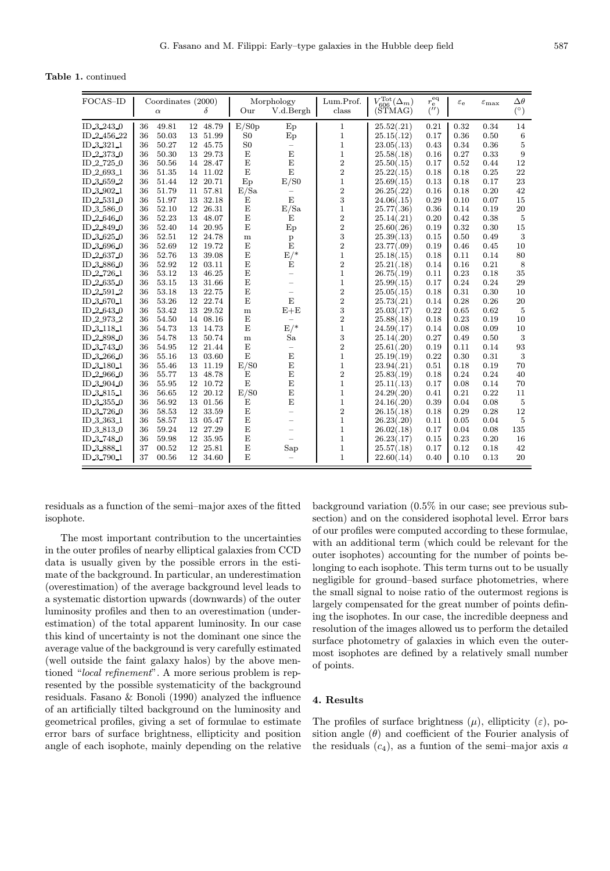Table 1. continued

| FOCAS-ID             | Coordinates (2000) |          |    |          |                | Morphology               | Lum.Prof.        | $V_{606}^{\rm Tot}(\Delta_m)$ | $r_{\rm e}^{\rm eq}$ | $\varepsilon_{\rm e}$ | $\varepsilon_{\max}$ | $\Delta\theta$  |
|----------------------|--------------------|----------|----|----------|----------------|--------------------------|------------------|-------------------------------|----------------------|-----------------------|----------------------|-----------------|
|                      |                    | $\alpha$ |    | δ        | Our            | V.d.Bergh                | class            | (STMAG)                       | ('')                 |                       |                      | $(^\circ)$      |
| ID 3 243 0           | 36                 | 49.81    |    | 12 48.79 | E/S0p          | $E_{\rm p}$              | $\mathbf{1}$     | 25.52(.21)                    | 0.21                 | 0.32                  | 0.34                 | 14              |
| ID 2 456 22          | 36                 | 50.03    | 13 | 51.99    | S <sub>0</sub> | $E_{\rm p}$              | $\mathbf{1}$     | 25.15(.12)                    | 0.17                 | 0.36                  | 0.50                 | $6\phantom{.}6$ |
| ID 3 321 1           | 36                 | 50.27    |    | 12 45.75 | S <sub>0</sub> | $\overline{\phantom{0}}$ | $\mathbf{1}$     | 23.05(.13)                    | 0.43                 | 0.34                  | 0.36                 | $\overline{5}$  |
| ID 2 373 0           | 36                 | 50.30    | 13 | 29.73    | E              | $\mathbf E$              | $\mathbf{1}$     | 25.58(.18)                    | 0.16                 | 0.27                  | 0.33                 | 9               |
| ID 2.725.0           | 36                 | 50.56    | 14 | 28.47    | E              | E                        | $\overline{2}$   | 25.50(.15)                    | 0.17                 | 0.52                  | 0.44                 | 12              |
| ID 2 693 1           | 36                 | 51.35    |    | 14 11.02 | E              | E                        | $\overline{2}$   | 25.22(.15)                    | 0.18                 | 0.18                  | 0.25                 | 22              |
| ID 3 659 2           | 36                 | 51.44    | 12 | 20.71    | Ep             | E/S0                     | $\mathbf{1}$     | 25.69(.15)                    | 0.13                 | 0.18                  | 0.17                 | 23              |
| ID 3 902 1           | 36                 | 51.79    | 11 | 57.81    | E/Sa           | -                        | $\overline{2}$   | 26.25(.22)                    | 0.16                 | 0.18                  | 0.20                 | 42              |
| ID 2.531.0           | 36                 | 51.97    | 13 | 32.18    | E              | E                        | 3                | 24.06(.15)                    | 0.29                 | 0.10                  | 0.07                 | 15              |
| ID_3_586_0           | 36                 | 52.10    | 12 | 26.31    | E              | E/Sa                     | $\mathbf{1}$     | 25.77(.36)                    | 0.36                 | 0.14                  | 0.19                 | 20              |
| ID <sub>2646</sub> 0 | 36                 | 52.23    | 13 | 48.07    | E              | E                        | $\overline{2}$   | 25.14(.21)                    | 0.20                 | 0.42                  | 0.38                 | $\overline{5}$  |
| ID 2.849.0           | 36                 | 52.40    | 14 | 20.95    | E              | Ep                       | $\overline{2}$   | 25.60(.26)                    | 0.19                 | 0.32                  | 0.30                 | 15              |
| ID 3 625 0           | 36                 | 52.51    | 12 | 24.78    | ${\rm m}$      | $\, {\bf p}$             | 3                | 25.39(.13)                    | 0.15                 | 0.50                  | 0.49                 | 3               |
| ID 3 696 0           | 36                 | 52.69    |    | 12 19.72 | E              | E                        | $\overline{2}$   | 23.77(.09)                    | 0.19                 | 0.46                  | 0.45                 | 10              |
| ID 2 637.0           | 36                 | 52.76    | 13 | 39.08    | E              | $E/*$                    | $\mathbf{1}$     | 25.18(.15)                    | 0.18                 | 0.11                  | 0.14                 | 80              |
| ID 3 886 0           | 36                 | 52.92    | 12 | 03.11    | E              | E                        | $\boldsymbol{2}$ | 25.21(.18)                    | 0.14                 | 0.16                  | 0.21                 | 8               |
| ID 2 726 1           | 36                 | 53.12    | 13 | 46.25    | E              | $\overline{\phantom{0}}$ | $\mathbf{1}$     | 26.75(.19)                    | 0.11                 | 0.23                  | 0.18                 | 35              |
| $ID_2_635_0$         | 36                 | 53.15    | 13 | 31.66    | E              | $\overline{\phantom{0}}$ | $\mathbf{1}$     | 25.99(.15)                    | 0.17                 | 0.24                  | 0.24                 | 29              |
| ID 2 591 2           | 36                 | 53.18    | 13 | 22.75    | E              | $\overline{\phantom{0}}$ | $\,2$            | 25.05(.15)                    | 0.18                 | 0.31                  | 0.30                 | 10              |
| ID 3 670 1           | 36                 | 53.26    | 12 | 22.74    | E              | E                        | $\overline{2}$   | 25.73(.21)                    | 0.14                 | 0.28                  | 0.26                 | 20              |
| ID 2 643 0           | 36                 | 53.42    | 13 | 29.52    | ${\rm m}$      | $E+E$                    | 3                | 25.03(.17)                    | 0.22                 | 0.65                  | 0.62                 | 5               |
| ID 2 973 2           | 36                 | 54.50    |    | 14 08.16 | E              |                          | $\boldsymbol{2}$ | 25.88(.18)                    | 0.18                 | 0.23                  | 0.19                 | 10              |
| ID.3.118.1           | 36                 | 54.73    |    | 13 14.73 | E              | $E/*$                    | $\mathbf{1}$     | 24.59(.17)                    | 0.14                 | 0.08                  | 0.09                 | 10              |
| ID 2.898.0           | 36                 | 54.78    | 13 | 50.74    | ${\bf m}$      | Sa                       | 3                | 25.14(.20)                    | 0.27                 | 0.49                  | 0.50                 | 3               |
| ID 3 743 0           | 36                 | 54.95    | 12 | 21.44    | E              | $\overline{\phantom{0}}$ | $\overline{2}$   | 25.61(.20)                    | 0.19                 | 0.11                  | 0.14                 | 93              |
| ID 3 266 0           | 36                 | 55.16    |    | 13 03.60 | E              | $\mathbf E$              | $\mathbf{1}$     | 25.19(.19)                    | 0.22                 | 0.30                  | 0.31                 | 3               |
| ID 3 180 1           | 36                 | 55.46    |    | 13 11.19 | E/S0           | $\mathbf E$              | $\,1$            | 23.94(.21)                    | 0.51                 | 0.18                  | 0.19                 | 70              |
| ID 2 966 0           | 36                 | 55.77    | 13 | 48.78    | E              | E                        | $\overline{2}$   | 25.83(.19)                    | 0.18                 | 0.24                  | 0.24                 | 40              |
| ID 3 904 0           | 36                 | 55.95    | 12 | 10.72    | E              | E                        | $\mathbf{1}$     | 25.11(.13)                    | 0.17                 | 0.08                  | 0.14                 | 70              |
| ID 38151             | 36                 | 56.65    | 12 | 20.12    | E/S0           | E                        | $\mathbf{1}$     | 24.29(.20)                    | 0.41                 | 0.21                  | 0.22                 | 11              |
| ID 3 355 0           | 36                 | 56.92    |    | 13 01.56 | E              | $\mathbf E$              | $\mathbf{1}$     | 24.16(.20)                    | 0.39                 | 0.04                  | 0.08                 | $\overline{5}$  |
| ID 3 726 0           | 36                 | 58.53    | 12 | 33.59    | E              | $=$                      | $\overline{2}$   | 26.15(.18)                    | 0.18                 | 0.29                  | 0.28                 | 12              |
| ID 3 363 1           | 36                 | 58.57    | 13 | 05.47    | E              | -                        | $\mathbf{1}$     | 26.23(.20)                    | 0.11                 | 0.05                  | 0.04                 | 5               |
| ID 3 813 0           | 36                 | 59.24    | 12 | 27.29    | E              | $\overline{\phantom{0}}$ | $\mathbf{1}$     | 26.02(.18)                    | 0.17                 | 0.04                  | 0.08                 | 135             |
| ID 3 748 0           | 36                 | 59.98    |    | 12 35.95 | E              | $\equiv$                 | $\mathbf{1}$     | 26.23(.17)                    | 0.15                 | 0.23                  | 0.20                 | 16              |
| ID 3 888 1           | 37                 | 00.52    | 12 | 25.81    | E              | Sap                      | $\mathbf{1}$     | 25.57(.18)                    | 0.17                 | 0.12                  | 0.18                 | 42              |
| ID 3 790 1           | 37                 | 00.56    |    | 12 34.60 | E              |                          | $\mathbf{1}$     | 22.60(.14)                    | 0.40                 | 0.10                  | 0.13                 | 20              |

residuals as a function of the semi–major axes of the fitted isophote.

The most important contribution to the uncertainties in the outer profiles of nearby elliptical galaxies from CCD data is usually given by the possible errors in the estimate of the background. In particular, an underestimation (overestimation) of the average background level leads to a systematic distortion upwards (downwards) of the outer luminosity profiles and then to an overestimation (underestimation) of the total apparent luminosity. In our case this kind of uncertainty is not the dominant one since the average value of the background is very carefully estimated (well outside the faint galaxy halos) by the above mentioned "local refinement". A more serious problem is represented by the possible systematicity of the background residuals. Fasano & Bonoli (1990) analyzed the influence of an artificially tilted background on the luminosity and geometrical profiles, giving a set of formulae to estimate error bars of surface brightness, ellipticity and position angle of each isophote, mainly depending on the relative

background variation (0.5% in our case; see previous subsection) and on the considered isophotal level. Error bars of our profiles were computed according to these formulae, with an additional term (which could be relevant for the outer isophotes) accounting for the number of points belonging to each isophote. This term turns out to be usually negligible for ground–based surface photometries, where the small signal to noise ratio of the outermost regions is largely compensated for the great number of points defining the isophotes. In our case, the incredible deepness and resolution of the images allowed us to perform the detailed surface photometry of galaxies in which even the outermost isophotes are defined by a relatively small number of points.

## 4. Results

The profiles of surface brightness  $(\mu)$ , ellipticity  $(\varepsilon)$ , position angle  $(\theta)$  and coefficient of the Fourier analysis of the residuals  $(c_4)$ , as a funtion of the semi-major axis a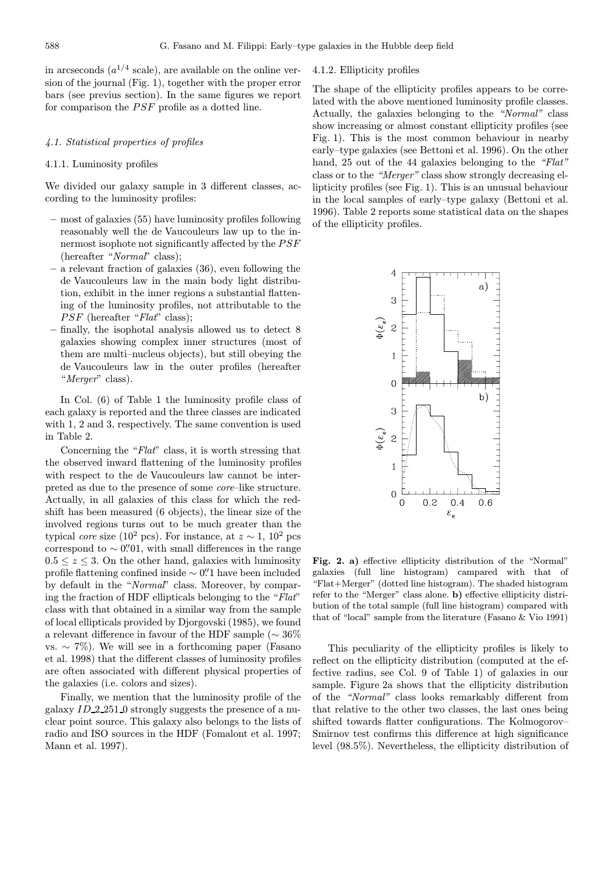in arcseconds  $(a^{1/4} \text{ scale})$ , are available on the online version of the journal (Fig. 1), together with the proper error bars (see previus section). In the same figures we report for comparison the PSF profile as a dotted line.

#### 4.1. Statistical properties of profiles

## 4.1.1. Luminosity profiles

We divided our galaxy sample in 3 different classes, according to the luminosity profiles:

- most of galaxies (55) have luminosity profiles following reasonably well the de Vaucouleurs law up to the innermost isophote not significantly affected by the PSF (hereafter "Normal" class);
- a relevant fraction of galaxies (36), even following the de Vaucouleurs law in the main body light distribution, exhibit in the inner regions a substantial flattening of the luminosity profiles, not attributable to the  $PSF$  (hereafter " $Flat$ " class);
- finally, the isophotal analysis allowed us to detect 8 galaxies showing complex inner structures (most of them are multi–nucleus objects), but still obeying the de Vaucouleurs law in the outer profiles (hereafter "*Merger*" class).

In Col. (6) of Table 1 the luminosity profile class of each galaxy is reported and the three classes are indicated with 1, 2 and 3, respectively. The same convention is used in Table 2.

Concerning the "Flat" class, it is worth stressing that the observed inward flattening of the luminosity profiles with respect to the de Vaucouleurs law cannot be interpreted as due to the presence of some core–like structure. Actually, in all galaxies of this class for which the redshift has been measured (6 objects), the linear size of the involved regions turns out to be much greater than the typical core size (10<sup>2</sup> pcs). For instance, at  $z \sim 1$ , 10<sup>2</sup> pcs correspond to  $\sim 0$ . *O*. with small differences in the range  $0.5 \leq z \leq 3$ . On the other hand, galaxies with luminosity profile flattening confined inside  $\sim$  0. Thave been included by default in the "Normal" class. Moreover, by comparing the fraction of HDF ellipticals belonging to the "Flat" class with that obtained in a similar way from the sample of local ellipticals provided by Djorgovski (1985), we found a relevant difference in favour of the HDF sample ( $\sim 36\%$ vs.  $\sim$  7%). We will see in a forthcoming paper (Fasano et al. 1998) that the different classes of luminosity profiles are often associated with different physical properties of the galaxies (i.e. colors and sizes).

Finally, we mention that the luminosity profile of the galaxy ID 2 251 0 strongly suggests the presence of a nuclear point source. This galaxy also belongs to the lists of radio and ISO sources in the HDF (Fomalont et al. 1997; Mann et al. 1997).

# 4.1.2. Ellipticity profiles

The shape of the ellipticity profiles appears to be correlated with the above mentioned luminosity profile classes. Actually, the galaxies belonging to the "Normal" class show increasing or almost constant ellipticity profiles (see Fig. 1). This is the most common behaviour in nearby early–type galaxies (see Bettoni et al. 1996). On the other hand, 25 out of the 44 galaxies belonging to the "Flat" class or to the "Merger" class show strongly decreasing ellipticity profiles (see Fig. 1). This is an unusual behaviour in the local samples of early–type galaxy (Bettoni et al. 1996). Table 2 reports some statistical data on the shapes of the ellipticity profiles.



Fig. 2. a) effective ellipticity distribution of the "Normal" galaxies (full line histogram) campared with that of "Flat+Merger" (dotted line histogram). The shaded histogram refer to the "Merger" class alone. b) effective ellipticity distribution of the total sample (full line histogram) compared with that of "local" sample from the literature (Fasano & Vio 1991)

This peculiarity of the ellipticity profiles is likely to reflect on the ellipticity distribution (computed at the effective radius, see Col. 9 of Table 1) of galaxies in our sample. Figure 2a shows that the ellipticity distribution of the "Normal" class looks remarkably different from that relative to the other two classes, the last ones being shifted towards flatter configurations. The Kolmogorov– Smirnov test confirms this difference at high significance level (98.5%). Nevertheless, the ellipticity distribution of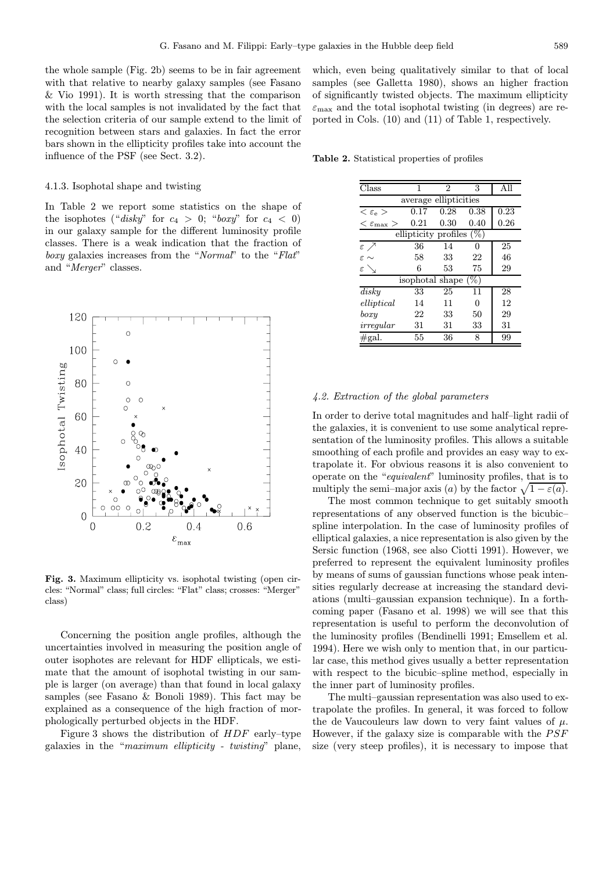the whole sample (Fig. 2b) seems to be in fair agreement with that relative to nearby galaxy samples (see Fasano & Vio 1991). It is worth stressing that the comparison with the local samples is not invalidated by the fact that the selection criteria of our sample extend to the limit of recognition between stars and galaxies. In fact the error bars shown in the ellipticity profiles take into account the influence of the PSF (see Sect. 3.2).

## 4.1.3. Isophotal shape and twisting

In Table 2 we report some statistics on the shape of the isophotes ("disky" for  $c_4 > 0$ ; "boxy" for  $c_4 < 0$ ) in our galaxy sample for the different luminosity profile classes. There is a weak indication that the fraction of boxy galaxies increases from the "Normal" to the "Flat" and "Merger" classes.



Fig. 3. Maximum ellipticity vs. isophotal twisting (open circles: "Normal" class; full circles: "Flat" class; crosses: "Merger" class)

Concerning the position angle profiles, although the uncertainties involved in measuring the position angle of outer isophotes are relevant for HDF ellipticals, we estimate that the amount of isophotal twisting in our sample is larger (on average) than that found in local galaxy samples (see Fasano & Bonoli 1989). This fact may be explained as a consequence of the high fraction of morphologically perturbed objects in the HDF.

Figure 3 shows the distribution of HDF early–type galaxies in the "maximum ellipticity - twisting" plane,

which, even being qualitatively similar to that of local samples (see Galletta 1980), shows an higher fraction of significantly twisted objects. The maximum ellipticity  $\varepsilon_{\text{max}}$  and the total isophotal twisting (in degrees) are reported in Cols. (10) and (11) of Table 1, respectively.

Table 2. Statistical properties of profiles

| $\rm Class$                 | 1    | $\mathfrak{D}$ | 3    | All  |  |  |  |  |  |  |
|-----------------------------|------|----------------|------|------|--|--|--|--|--|--|
| average ellipticities       |      |                |      |      |  |  |  |  |  |  |
| $<\varepsilon_{\rm e}>$     | 0.17 | 0.28           | 0.38 | 0.23 |  |  |  |  |  |  |
| $<\varepsilon_{\rm max}$    | 0.21 | 0.30           | 0.40 | 0.26 |  |  |  |  |  |  |
| ellipticity profiles $(\%)$ |      |                |      |      |  |  |  |  |  |  |
| εЛ                          | 36   | 14             | 0    | 25   |  |  |  |  |  |  |
| $\varepsilon \sim$          | 58   | 33             | 22   | 46   |  |  |  |  |  |  |
| ε                           | 6    | 53             | 75   | 29   |  |  |  |  |  |  |
| isophotal shape $(\%)$      |      |                |      |      |  |  |  |  |  |  |
| disky                       | 33   | 25             | 11   | 28   |  |  |  |  |  |  |
| elliptical                  | 14   | 11             | 0    | 12   |  |  |  |  |  |  |
| boxy                        | 22   | 33             | 50   | 29   |  |  |  |  |  |  |
| irregular                   | 31   | 31             | 33   | 31   |  |  |  |  |  |  |
| $\#\text{gal.}$             | 55   | 36             | 8    | 99   |  |  |  |  |  |  |

#### 4.2. Extraction of the global parameters

In order to derive total magnitudes and half–light radii of the galaxies, it is convenient to use some analytical representation of the luminosity profiles. This allows a suitable smoothing of each profile and provides an easy way to extrapolate it. For obvious reasons it is also convenient to operate on the "equivalent" luminosity profiles, that is to multiply the semi–major axis (a) by the factor  $\sqrt{1 - \varepsilon(a)}$ .

The most common technique to get suitably smooth representations of any observed function is the bicubic– spline interpolation. In the case of luminosity profiles of elliptical galaxies, a nice representation is also given by the Sersic function (1968, see also Ciotti 1991). However, we preferred to represent the equivalent luminosity profiles by means of sums of gaussian functions whose peak intensities regularly decrease at increasing the standard deviations (multi–gaussian expansion technique). In a forthcoming paper (Fasano et al. 1998) we will see that this representation is useful to perform the deconvolution of the luminosity profiles (Bendinelli 1991; Emsellem et al. 1994). Here we wish only to mention that, in our particular case, this method gives usually a better representation with respect to the bicubic–spline method, especially in the inner part of luminosity profiles.

The multi–gaussian representation was also used to extrapolate the profiles. In general, it was forced to follow the de Vaucouleurs law down to very faint values of  $\mu$ . However, if the galaxy size is comparable with the PSF size (very steep profiles), it is necessary to impose that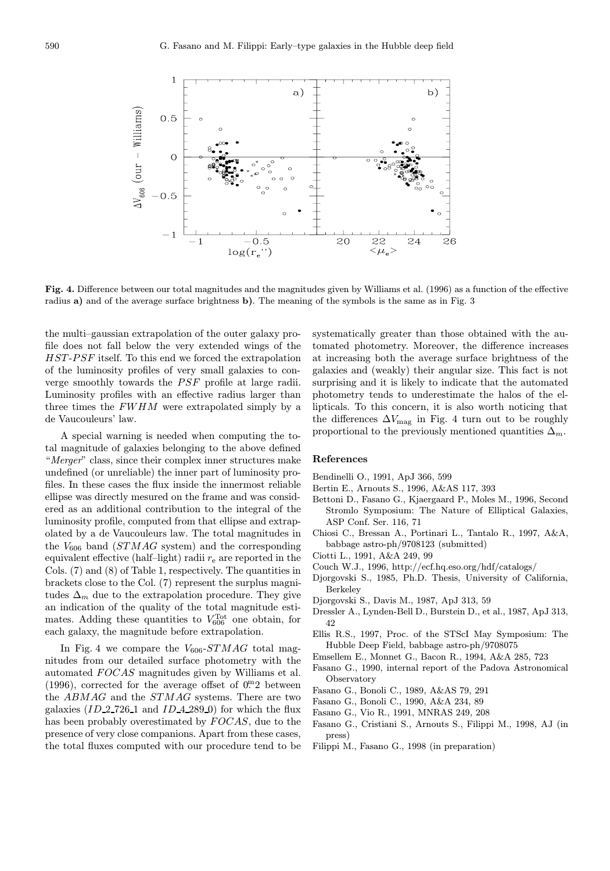

Fig. 4. Difference between our total magnitudes and the magnitudes given by Williams et al. (1996) as a function of the effective radius a) and of the average surface brightness b). The meaning of the symbols is the same as in Fig. 3

the multi–gaussian extrapolation of the outer galaxy profile does not fall below the very extended wings of the HST-PSF itself. To this end we forced the extrapolation of the luminosity profiles of very small galaxies to converge smoothly towards the PSF profile at large radii. Luminosity profiles with an effective radius larger than three times the FWHM were extrapolated simply by a de Vaucouleurs' law.

A special warning is needed when computing the total magnitude of galaxies belonging to the above defined "Merger" class, since their complex inner structures make undefined (or unreliable) the inner part of luminosity profiles. In these cases the flux inside the innermost reliable ellipse was directly mesured on the frame and was considered as an additional contribution to the integral of the luminosity profile, computed from that ellipse and extrapolated by a de Vaucouleurs law. The total magnitudes in the  $V_{606}$  band  $(STMAG$  system) and the corresponding equivalent effective (half-light) radii  $r_{e}$  are reported in the Cols. (7) and (8) of Table 1, respectively. The quantities in brackets close to the Col. (7) represent the surplus magnitudes  $\Delta_m$  due to the extrapolation procedure. They give an indication of the quality of the total magnitude estimates. Adding these quantities to  $V_{606}^{\text{Tot}}$  one obtain, for each galaxy, the magnitude before extrapolation.

In Fig. 4 we compare the  $V_{606}$ - $STMAG$  total magnitudes from our detailed surface photometry with the automated FOCAS magnitudes given by Williams et al. (1996), corrected for the average offset of  $0<sup>m</sup>2$  between the ABMAG and the STMAG systems. There are two galaxies  $(ID_2 726_1 1 and ID_4 289_0 )$  for which the flux has been probably overestimated by  $FOCAS$ , due to the presence of very close companions. Apart from these cases, the total fluxes computed with our procedure tend to be systematically greater than those obtained with the automated photometry. Moreover, the difference increases at increasing both the average surface brightness of the galaxies and (weakly) their angular size. This fact is not surprising and it is likely to indicate that the automated photometry tends to underestimate the halos of the ellipticals. To this concern, it is also worth noticing that the differences  $\Delta V_{\text{mag}}$  in Fig. 4 turn out to be roughly proportional to the previously mentioned quantities  $\Delta_m$ .

## References

- Bendinelli O., 1991, ApJ 366, 599
- Bertin E., Arnouts S., 1996, A&AS 117, 393
- Bettoni D., Fasano G., Kjaergaard P., Moles M., 1996, Second Stromlo Symposium: The Nature of Elliptical Galaxies, ASP Conf. Ser. 116, 71
- Chiosi C., Bressan A., Portinari L., Tantalo R., 1997, A&A, babbage astro-ph/9708123 (submitted)
- Ciotti L., 1991, A&A 249, 99
- Couch W.J., 1996, http://ecf.hq.eso.org/hdf/catalogs/
- Djorgovski S., 1985, Ph.D. Thesis, University of California, Berkeley
- Djorgovski S., Davis M., 1987, ApJ 313, 59
- Dressler A., Lynden-Bell D., Burstein D., et al., 1987, ApJ 313, 42
- Ellis R.S., 1997, Proc. of the STScI May Symposium: The Hubble Deep Field, babbage astro-ph/9708075
- Emsellem E., Monnet G., Bacon R., 1994, A&A 285, 723
- Fasano G., 1990, internal report of the Padova Astronomical Observatory
- Fasano G., Bonoli C., 1989, A&AS 79, 291
- Fasano G., Bonoli C., 1990, A&A 234, 89
- Fasano G., Vio R., 1991, MNRAS 249, 208
- Fasano G., Cristiani S., Arnouts S., Filippi M., 1998, AJ (in press)
- Filippi M., Fasano G., 1998 (in preparation)